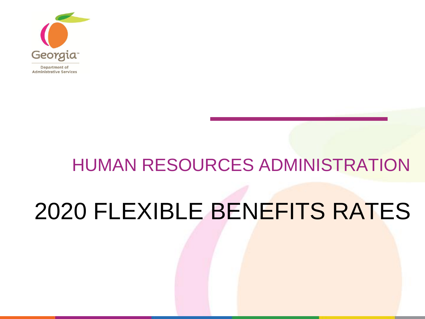

# HUMAN RESOURCES ADMINISTRATION 2020 FLEXIBLE BENEFITS RATES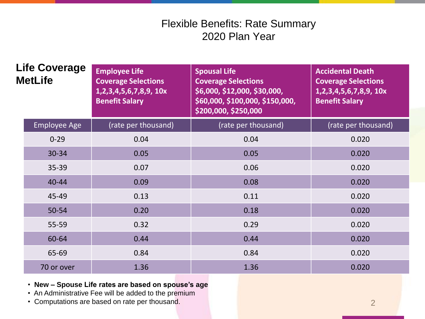| <b>Life Coverage</b><br><b>MetLife</b> |                     | <b>Employee Life</b><br><b>Coverage Selections</b><br>1,2,3,4,5,6,7,8,9, 10x<br><b>Benefit Salary</b> | <b>Spousal Life</b><br><b>Coverage Selections</b><br>\$6,000, \$12,000, \$30,000,<br>\$60,000, \$100,000, \$150,000,<br>\$200,000, \$250,000 | <b>Accidental Death</b><br><b>Coverage Selections</b><br>1,2,3,4,5,6,7,8,9, 10x<br><b>Benefit Salary</b> |  |
|----------------------------------------|---------------------|-------------------------------------------------------------------------------------------------------|----------------------------------------------------------------------------------------------------------------------------------------------|----------------------------------------------------------------------------------------------------------|--|
|                                        | <b>Employee Age</b> | (rate per thousand)                                                                                   | (rate per thousand)                                                                                                                          | (rate per thousand)                                                                                      |  |
|                                        | $0 - 29$            | 0.04                                                                                                  | 0.04                                                                                                                                         | 0.020                                                                                                    |  |
|                                        | 30-34               | 0.05                                                                                                  | 0.05                                                                                                                                         | 0.020                                                                                                    |  |
|                                        | $35 - 39$           | 0.07                                                                                                  | 0.06                                                                                                                                         | 0.020                                                                                                    |  |
|                                        | $40 - 44$           | 0.09                                                                                                  | 0.08                                                                                                                                         | 0.020                                                                                                    |  |
|                                        | 45-49               | 0.13                                                                                                  | 0.11                                                                                                                                         | 0.020                                                                                                    |  |
|                                        | 50-54               | 0.20                                                                                                  | 0.18                                                                                                                                         | 0.020                                                                                                    |  |
|                                        | 55-59               | 0.32                                                                                                  | 0.29                                                                                                                                         | 0.020                                                                                                    |  |
|                                        | 60-64               | 0.44                                                                                                  | 0.44                                                                                                                                         | 0.020                                                                                                    |  |
|                                        | 65-69               | 0.84                                                                                                  | 0.84                                                                                                                                         | 0.020                                                                                                    |  |
|                                        | 70 or over          | 1.36                                                                                                  | 1.36                                                                                                                                         | 0.020                                                                                                    |  |

#### • **New – Spouse Life rates are based on spouse's age**

- An Administrative Fee will be added to the premium
- Computations are based on rate per thousand.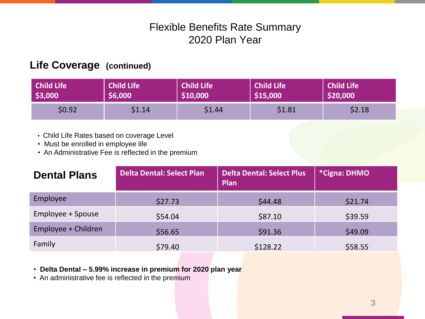#### **Life Coverage (continued)**

| Child Life | <b>Child Life</b> | <b>Child Life</b> | <b>Child Life</b> | <b>Child Life</b> |
|------------|-------------------|-------------------|-------------------|-------------------|
| \$3,000    | \$6,000           | \$10,000          | \$15,000          | \$20,000          |
| \$0.92     | \$1.14            | \$1.44            | \$1.81            | \$2.18            |

- Child Life Rates based on coverage Level
- Must be enrolled in employee life
- An Administrative Fee is reflected in the premium

| <b>Dental Plans</b> | Delta Dental: Select Plan | <b>Delta Dental: Select Plus</b><br>Plan | *Cigna: DHMO |  |
|---------------------|---------------------------|------------------------------------------|--------------|--|
| Employee            | \$27.73                   | \$44.48                                  | \$21.74      |  |
| Employee + Spouse   | \$54.04                   | \$87.10                                  | \$39.59      |  |
| Employee + Children | \$56.65                   | \$91.36                                  | \$49.09      |  |
| Family              | \$79.40                   | \$128.22                                 | \$58.55      |  |

• **Delta Dental – 5.99% increase in premium for 2020 plan year**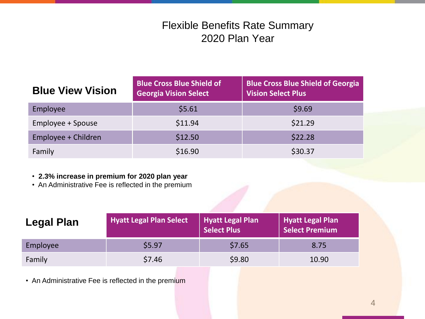| <b>Blue View Vision</b> | <b>Blue Cross Blue Shield of</b><br><b>Georgia Vision Select</b> | <b>Blue Cross Blue Shield of Georgia</b><br><b>Vision Select Plus</b> |
|-------------------------|------------------------------------------------------------------|-----------------------------------------------------------------------|
| Employee                | \$5.61                                                           | \$9.69                                                                |
| Employee + Spouse       | \$11.94                                                          | \$21.29                                                               |
| Employee + Children     | \$12.50                                                          | \$22.28                                                               |
| Family                  | \$16.90                                                          | \$30.37                                                               |

#### • **2.3% increase in premium for 2020 plan year**

• An Administrative Fee is reflected in the premium

| Legal Plan | <b>Hyatt Legal Plan Select</b> | Hyatt Legal Plan | Hyatt Legal Plan<br>Select Premium |  |  |  |  |
|------------|--------------------------------|------------------|------------------------------------|--|--|--|--|
| Employee   | \$5.97                         | \$7.65           | 8.75                               |  |  |  |  |
| Family     | \$7.46                         | \$9.80           | 10.90                              |  |  |  |  |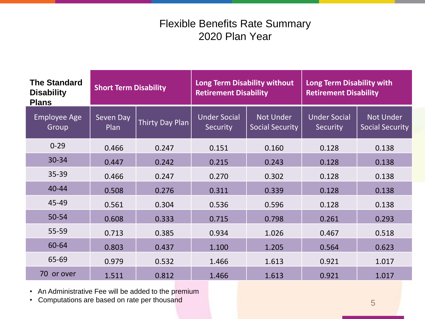| <b>The Standard</b><br><b>Disability</b><br><b>Plans</b> | <b>Short Term Disability</b> |                 | <b>Long Term Disability without</b><br><b>Retirement Disability</b> |                                            | Long Term Disability with<br><b>Retirement Disability</b> |                                            |
|----------------------------------------------------------|------------------------------|-----------------|---------------------------------------------------------------------|--------------------------------------------|-----------------------------------------------------------|--------------------------------------------|
| <b>Employee Age</b><br>Group                             | Seven Day<br>Plan            | Thirty Day Plan | <b>Under Social</b><br>Security                                     | <b>Not Under</b><br><b>Social Security</b> | <b>Under Social</b><br>Security                           | <b>Not Under</b><br><b>Social Security</b> |
| $0 - 29$                                                 | 0.466                        | 0.247           | 0.151                                                               | 0.160                                      | 0.128                                                     | 0.138                                      |
| 30-34                                                    | 0.447                        | 0.242           | 0.215                                                               | 0.243                                      | 0.128                                                     | 0.138                                      |
| 35-39                                                    | 0.466                        | 0.247           | 0.270                                                               | 0.302                                      | 0.128                                                     | 0.138                                      |
| $40 - 44$                                                | 0.508                        | 0.276           | 0.311                                                               | 0.339                                      | 0.128                                                     | 0.138                                      |
| 45-49                                                    | 0.561                        | 0.304           | 0.536                                                               | 0.596                                      | 0.128                                                     | 0.138                                      |
| 50-54                                                    | 0.608                        | 0.333           | 0.715                                                               | 0.798                                      | 0.261                                                     | 0.293                                      |
| $55 - 59$                                                | 0.713                        | 0.385           | 0.934                                                               | 1.026                                      | 0.467                                                     | 0.518                                      |
| 60-64                                                    | 0.803                        | 0.437           | 1.100                                                               | 1.205                                      | 0.564                                                     | 0.623                                      |
| 65-69                                                    | 0.979                        | 0.532           | 1.466                                                               | 1.613                                      | 0.921                                                     | 1.017                                      |
| 70<br>or over                                            | 1.511                        | 0.812           | 1.466                                                               | 1.613                                      | 0.921                                                     | 1.017                                      |

• An Administrative Fee will be added to the premium

• Computations are based on rate per thousand 5 and 5 and 5 and 5 and 5 and 5 and 5 and 5 and 5 and 5 and 5 and 5 and 5 and 5 and 5 and 5 and 5 and 5 and 5 and 5 and 5 and 5 and 5 and 5 and 5 and 5 and 5 and 5 and 5 and 5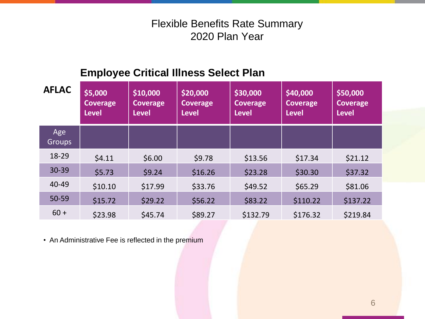# **Employee Critical Illness Select Plan**

| <b>AFLAC</b>         | \$5,000<br>Coverage<br><b>Level</b> | \$10,000<br><b>Coverage</b><br><b>Level</b> | \$20,000<br>Coverage<br><b>Level</b> | \$30,000<br><b>Coverage</b><br><b>Level</b> | \$40,000<br><b>Coverage</b><br><b>Level</b> | \$50,000<br><b>Coverage</b><br><b>Level</b> |
|----------------------|-------------------------------------|---------------------------------------------|--------------------------------------|---------------------------------------------|---------------------------------------------|---------------------------------------------|
| Age<br><b>Groups</b> |                                     |                                             |                                      |                                             |                                             |                                             |
| 18-29                | \$4.11                              | \$6.00                                      | \$9.78                               | \$13.56                                     | \$17.34                                     | \$21.12                                     |
| 30-39                | \$5.73                              | \$9.24                                      | \$16.26                              | \$23.28                                     | \$30.30                                     | \$37.32                                     |
| 40-49                | \$10.10                             | \$17.99                                     | \$33.76                              | \$49.52                                     | \$65.29                                     | \$81.06                                     |
| 50-59                | \$15.72                             | \$29.22                                     | \$56.22                              | \$83.22                                     | \$110.22                                    | \$137.22                                    |
| $60 +$               | \$23.98                             | \$45.74                                     | \$89.27                              | \$132.79                                    | \$176.32                                    | \$219.84                                    |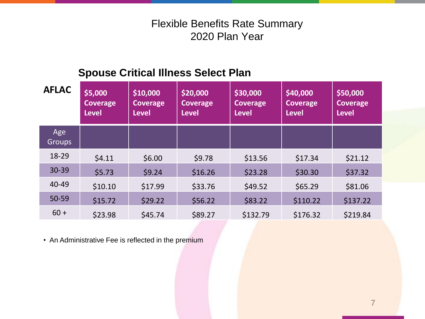# **Spouse Critical Illness Select Plan**

| <b>AFLAC</b>         | \$5,000<br><b>Coverage</b><br><b>Level</b> | \$10,000<br><b>Coverage</b><br><b>Level</b> | \$20,000<br><b>Coverage</b><br><b>Level</b> | \$30,000<br><b>Coverage</b><br><b>Level</b> | \$40,000<br><b>Coverage</b><br>Level | \$50,000<br><b>Coverage</b><br><b>Level</b> |
|----------------------|--------------------------------------------|---------------------------------------------|---------------------------------------------|---------------------------------------------|--------------------------------------|---------------------------------------------|
| Age<br><b>Groups</b> |                                            |                                             |                                             |                                             |                                      |                                             |
| 18-29                | \$4.11                                     | \$6.00                                      | \$9.78                                      | \$13.56                                     | \$17.34                              | \$21.12                                     |
| 30-39                | \$5.73                                     | \$9.24                                      | \$16.26                                     | \$23.28                                     | \$30.30                              | \$37.32                                     |
| 40-49                | \$10.10                                    | \$17.99                                     | \$33.76                                     | \$49.52                                     | \$65.29                              | \$81.06                                     |
| 50-59                | \$15.72                                    | \$29.22                                     | \$56.22                                     | \$83.22                                     | \$110.22                             | \$137.22                                    |
| $60 +$               | \$23.98                                    | \$45.74                                     | \$89.27                                     | \$132.79                                    | \$176.32                             | \$219.84                                    |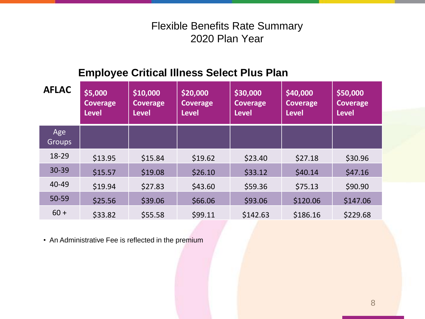# **Employee Critical Illness Select Plus Plan**

| <b>AFLAC</b>         | \$5,000<br>Coverage<br><b>Level</b> | \$10,000<br><b>Coverage</b><br><b>Level</b> | \$20,000<br><b>Coverage</b><br><b>Level</b> | \$30,000<br><b>Coverage</b><br><b>Level</b> | \$40,000<br><b>Coverage</b><br><b>Level</b> | \$50,000<br><b>Coverage</b><br><b>Level</b> |
|----------------------|-------------------------------------|---------------------------------------------|---------------------------------------------|---------------------------------------------|---------------------------------------------|---------------------------------------------|
| Age<br><b>Groups</b> |                                     |                                             |                                             |                                             |                                             |                                             |
| 18-29                | \$13.95                             | \$15.84                                     | \$19.62                                     | \$23.40                                     | \$27.18                                     | \$30.96                                     |
| 30-39                | \$15.57                             | \$19.08                                     | \$26.10                                     | \$33.12                                     | \$40.14                                     | \$47.16                                     |
| 40-49                | \$19.94                             | \$27.83                                     | \$43.60                                     | \$59.36                                     | \$75.13                                     | \$90.90                                     |
| 50-59                | \$25.56                             | \$39.06                                     | \$66.06                                     | \$93.06                                     | \$120.06                                    | \$147.06                                    |
| $60 +$               | \$33.82                             | \$55.58                                     | \$99.11                                     | \$142.63                                    | \$186.16                                    | \$229.68                                    |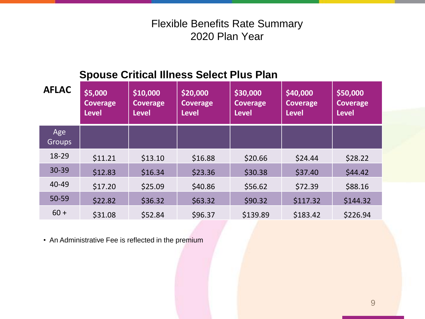# **Spouse Critical Illness Select Plus Plan**

| <b>AFLAC</b>         | \$5,000<br>Coverage<br><b>Level</b> | \$10,000<br><b>Coverage</b><br><b>Level</b> | \$20,000<br><b>Coverage</b><br><b>Level</b> | \$30,000<br><b>Coverage</b><br><b>Level</b> | \$40,000<br><b>Coverage</b><br><b>Level</b> | \$50,000<br><b>Coverage</b><br><b>Level</b> |
|----------------------|-------------------------------------|---------------------------------------------|---------------------------------------------|---------------------------------------------|---------------------------------------------|---------------------------------------------|
| Age<br><b>Groups</b> |                                     |                                             |                                             |                                             |                                             |                                             |
| 18-29                | \$11.21                             | \$13.10                                     | \$16.88                                     | \$20.66                                     | \$24.44                                     | \$28.22                                     |
| 30-39                | \$12.83                             | \$16.34                                     | \$23.36                                     | \$30.38                                     | \$37.40                                     | \$44.42                                     |
| 40-49                | \$17.20                             | \$25.09                                     | \$40.86                                     | \$56.62                                     | \$72.39                                     | \$88.16                                     |
| 50-59                | \$22.82                             | \$36.32                                     | \$63.32                                     | \$90.32                                     | \$117.32                                    | \$144.32                                    |
| $60 +$               | \$31.08                             | \$52.84                                     | \$96.37                                     | \$139.89                                    | \$183.42                                    | \$226.94                                    |